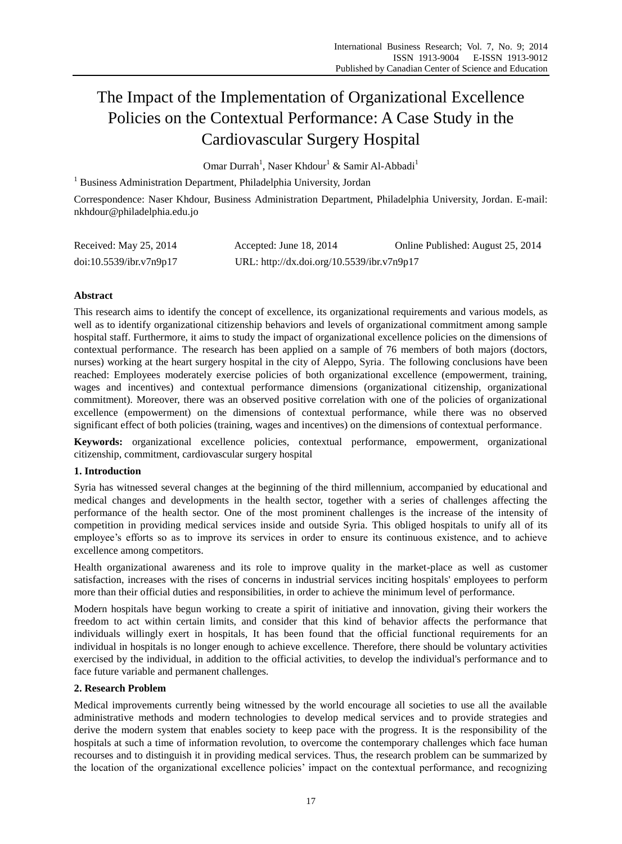# The Impact of the Implementation of Organizational Excellence Policies on the Contextual Performance: A Case Study in the Cardiovascular Surgery Hospital

Omar Durrah<sup>1</sup>, Naser Khdour<sup>1</sup> & Samir Al-Abbadi<sup>1</sup>

<sup>1</sup> Business Administration Department, Philadelphia University, Jordan

Correspondence: Naser Khdour, Business Administration Department, Philadelphia University, Jordan. E-mail: nkhdour@philadelphia.edu.jo

| Received: May 25, 2014  | Accepted: June 18, $2014$                  | Online Published: August 25, 2014 |
|-------------------------|--------------------------------------------|-----------------------------------|
| doi:10.5539/ibr.v7n9p17 | URL: http://dx.doi.org/10.5539/ibr.v7n9p17 |                                   |

# **Abstract**

This research aims to identify the concept of excellence, its organizational requirements and various models, as well as to identify organizational citizenship behaviors and levels of organizational commitment among sample hospital staff. Furthermore, it aims to study the impact of organizational excellence policies on the dimensions of contextual performance. The research has been applied on a sample of 76 members of both majors (doctors, nurses) working at the heart surgery hospital in the city of Aleppo, Syria. The following conclusions have been reached: Employees moderately exercise policies of both organizational excellence (empowerment, training, wages and incentives) and contextual performance dimensions (organizational citizenship, organizational commitment). Moreover, there was an observed positive correlation with one of the policies of organizational excellence (empowerment) on the dimensions of contextual performance, while there was no observed significant effect of both policies (training, wages and incentives) on the dimensions of contextual performance.

**Keywords:** organizational excellence policies, contextual performance, empowerment, organizational citizenship, commitment, cardiovascular surgery hospital

# **1. Introduction**

Syria has witnessed several changes at the beginning of the third millennium, accompanied by educational and medical changes and developments in the health sector, together with a series of challenges affecting the performance of the health sector. One of the most prominent challenges is the increase of the intensity of competition in providing medical services inside and outside Syria. This obliged hospitals to unify all of its employee's efforts so as to improve its services in order to ensure its continuous existence, and to achieve excellence among competitors.

Health organizational awareness and its role to improve quality in the market-place as well as customer satisfaction, increases with the rises of concerns in industrial services inciting hospitals' employees to perform more than their official duties and responsibilities, in order to achieve the minimum level of performance.

Modern hospitals have begun working to create a spirit of initiative and innovation, giving their workers the freedom to act within certain limits, and consider that this kind of behavior affects the performance that individuals willingly exert in hospitals, It has been found that the official functional requirements for an individual in hospitals is no longer enough to achieve excellence. Therefore, there should be voluntary activities exercised by the individual, in addition to the official activities, to develop the individual's performance and to face future variable and permanent challenges.

# **2. Research Problem**

Medical improvements currently being witnessed by the world encourage all societies to use all the available administrative methods and modern technologies to develop medical services and to provide strategies and derive the modern system that enables society to keep pace with the progress. It is the responsibility of the hospitals at such a time of information revolution, to overcome the contemporary challenges which face human recourses and to distinguish it in providing medical services. Thus, the research problem can be summarized by the location of the organizational excellence policies' impact on the contextual performance, and recognizing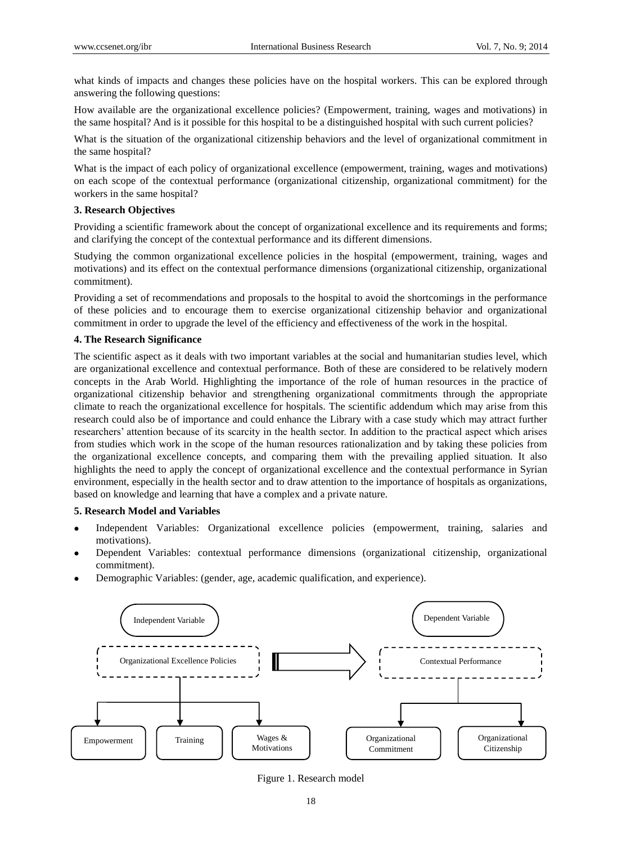what kinds of impacts and changes these policies have on the hospital workers. This can be explored through answering the following questions:

How available are the organizational excellence policies? (Empowerment, training, wages and motivations) in the same hospital? And is it possible for this hospital to be a distinguished hospital with such current policies?

What is the situation of the organizational citizenship behaviors and the level of organizational commitment in the same hospital?

What is the impact of each policy of organizational excellence (empowerment, training, wages and motivations) on each scope of the contextual performance (organizational citizenship, organizational commitment) for the workers in the same hospital?

#### **3. Research Objectives**

Providing a scientific framework about the concept of organizational excellence and its requirements and forms; and clarifying the concept of the contextual performance and its different dimensions.

Studying the common organizational excellence policies in the hospital (empowerment, training, wages and motivations) and its effect on the contextual performance dimensions (organizational citizenship, organizational commitment).

Providing a set of recommendations and proposals to the hospital to avoid the shortcomings in the performance of these policies and to encourage them to exercise organizational citizenship behavior and organizational commitment in order to upgrade the level of the efficiency and effectiveness of the work in the hospital.

#### **4. The Research Significance**

The scientific aspect as it deals with two important variables at the social and humanitarian studies level, which are organizational excellence and contextual performance. Both of these are considered to be relatively modern concepts in the Arab World. Highlighting the importance of the role of human resources in the practice of organizational citizenship behavior and strengthening organizational commitments through the appropriate climate to reach the organizational excellence for hospitals. The scientific addendum which may arise from this research could also be of importance and could enhance the Library with a case study which may attract further researchers' attention because of its scarcity in the health sector. In addition to the practical aspect which arises from studies which work in the scope of the human resources rationalization and by taking these policies from the organizational excellence concepts, and comparing them with the prevailing applied situation. It also highlights the need to apply the concept of organizational excellence and the contextual performance in Syrian environment, especially in the health sector and to draw attention to the importance of hospitals as organizations, based on knowledge and learning that have a complex and a private nature.

#### **5. Research Model and Variables**

- Independent Variables: Organizational excellence policies (empowerment, training, salaries and motivations).
- Dependent Variables: contextual performance dimensions (organizational citizenship, organizational commitment).
- Demographic Variables: (gender, age, academic qualification, and experience).



Figure 1. Research model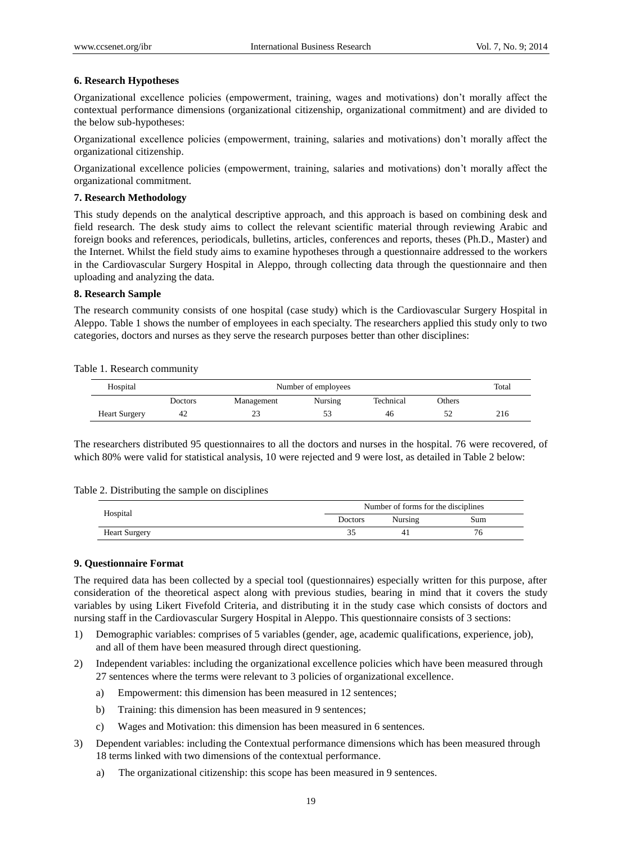## **6. Research Hypotheses**

Organizational excellence policies (empowerment, training, wages and motivations) don't morally affect the contextual performance dimensions (organizational citizenship, organizational commitment) and are divided to the below sub-hypotheses:

Organizational excellence policies (empowerment, training, salaries and motivations) don't morally affect the organizational citizenship.

Organizational excellence policies (empowerment, training, salaries and motivations) don't morally affect the organizational commitment.

### **7. Research Methodology**

This study depends on the analytical descriptive approach, and this approach is based on combining desk and field research. The desk study aims to collect the relevant scientific material through reviewing Arabic and foreign books and references, periodicals, bulletins, articles, conferences and reports, theses (Ph.D., Master) and the Internet. Whilst the field study aims to examine hypotheses through a questionnaire addressed to the workers in the Cardiovascular Surgery Hospital in Aleppo, through collecting data through the questionnaire and then uploading and analyzing the data.

## **8. Research Sample**

The research community consists of one hospital (case study) which is the Cardiovascular Surgery Hospital in Aleppo. Table 1 shows the number of employees in each specialty. The researchers applied this study only to two categories, doctors and nurses as they serve the research purposes better than other disciplines:

Table 1. Research community

| Hospital             | Number of employees |            |         |           |        |     |
|----------------------|---------------------|------------|---------|-----------|--------|-----|
|                      | Doctors             | Management | Nursing | Technical | Others |     |
| <b>Heart Surgery</b> | 42                  | 23         | 53      | 46        |        | 216 |

The researchers distributed 95 questionnaires to all the doctors and nurses in the hospital. 76 were recovered, of which 80% were valid for statistical analysis, 10 were rejected and 9 were lost, as detailed in Table 2 below:

|  |  | Table 2. Distributing the sample on disciplines |  |
|--|--|-------------------------------------------------|--|
|--|--|-------------------------------------------------|--|

| Hospital             | Number of forms for the disciplines |         |     |  |
|----------------------|-------------------------------------|---------|-----|--|
|                      | Doctors                             | Nursing | Sum |  |
| <b>Heart Surgery</b> | 24                                  |         |     |  |

#### **9. Questionnaire Format**

The required data has been collected by a special tool (questionnaires) especially written for this purpose, after consideration of the theoretical aspect along with previous studies, bearing in mind that it covers the study variables by using Likert Fivefold Criteria, and distributing it in the study case which consists of doctors and nursing staff in the Cardiovascular Surgery Hospital in Aleppo. This questionnaire consists of 3 sections:

- 1) Demographic variables: comprises of 5 variables (gender, age, academic qualifications, experience, job), and all of them have been measured through direct questioning.
- 2) Independent variables: including the organizational excellence policies which have been measured through 27 sentences where the terms were relevant to 3 policies of organizational excellence.
	- a) Empowerment: this dimension has been measured in 12 sentences;
	- b) Training: this dimension has been measured in 9 sentences;
	- c) Wages and Motivation: this dimension has been measured in 6 sentences.
- 3) Dependent variables: including the Contextual performance dimensions which has been measured through 18 terms linked with two dimensions of the contextual performance.
	- a) The organizational citizenship: this scope has been measured in 9 sentences.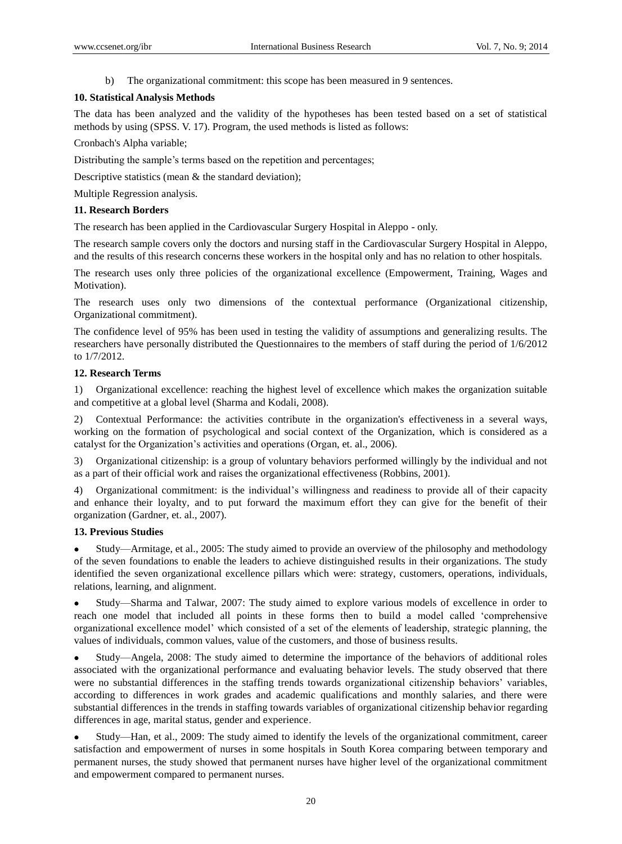b) The organizational commitment: this scope has been measured in 9 sentences.

## **10. Statistical Analysis Methods**

The data has been analyzed and the validity of the hypotheses has been tested based on a set of statistical methods by using (SPSS. V. 17). Program, the used methods is listed as follows:

Cronbach's Alpha variable;

Distributing the sample's terms based on the repetition and percentages;

Descriptive statistics (mean & the standard deviation);

Multiple Regression analysis.

## **11. Research Borders**

The research has been applied in the Cardiovascular Surgery Hospital in Aleppo - only.

The research sample covers only the doctors and nursing staff in the Cardiovascular Surgery Hospital in Aleppo, and the results of this research concerns these workers in the hospital only and has no relation to other hospitals.

The research uses only three policies of the organizational excellence (Empowerment, Training, Wages and Motivation).

The research uses only two dimensions of the contextual performance (Organizational citizenship, Organizational commitment).

The confidence level of 95% has been used in testing the validity of assumptions and generalizing results. The researchers have personally distributed the Questionnaires to the members of staff during the period of 1/6/2012 to 1/7/2012.

## **12. Research Terms**

1) Organizational excellence: reaching the highest level of excellence which makes the organization suitable and competitive at a global level (Sharma and Kodali, 2008).

2) Contextual Performance: the activities contribute in the organization's effectiveness in a several ways, working on the formation of psychological and social context of the Organization, which is considered as a catalyst for the Organization's activities and operations (Organ, et. al., 2006).

3) Organizational citizenship: is a group of voluntary behaviors performed willingly by the individual and not as a part of their official work and raises the organizational effectiveness (Robbins, 2001).

4) Organizational commitment: is the individual's willingness and readiness to provide all of their capacity and enhance their loyalty, and to put forward the maximum effort they can give for the benefit of their organization (Gardner, et. al., 2007).

#### **13. Previous Studies**

 Study—Armitage, et al., 2005: The study aimed to provide an overview of the philosophy and methodology of the seven foundations to enable the leaders to achieve distinguished results in their organizations. The study identified the seven organizational excellence pillars which were: strategy, customers, operations, individuals, relations, learning, and alignment.

 Study—Sharma and Talwar, 2007: The study aimed to explore various models of excellence in order to reach one model that included all points in these forms then to build a model called 'comprehensive organizational excellence model' which consisted of a set of the elements of leadership, strategic planning, the values of individuals, common values, value of the customers, and those of business results.

 Study—Angela, 2008: The study aimed to determine the importance of the behaviors of additional roles associated with the organizational performance and evaluating behavior levels. The study observed that there were no substantial differences in the staffing trends towards organizational citizenship behaviors' variables, according to differences in work grades and academic qualifications and monthly salaries, and there were substantial differences in the trends in staffing towards variables of organizational citizenship behavior regarding differences in age, marital status, gender and experience.

 Study—Han, et al., 2009: The study aimed to identify the levels of the organizational commitment, career satisfaction and empowerment of nurses in some hospitals in South Korea comparing between temporary and permanent nurses, the study showed that permanent nurses have higher level of the organizational commitment and empowerment compared to permanent nurses.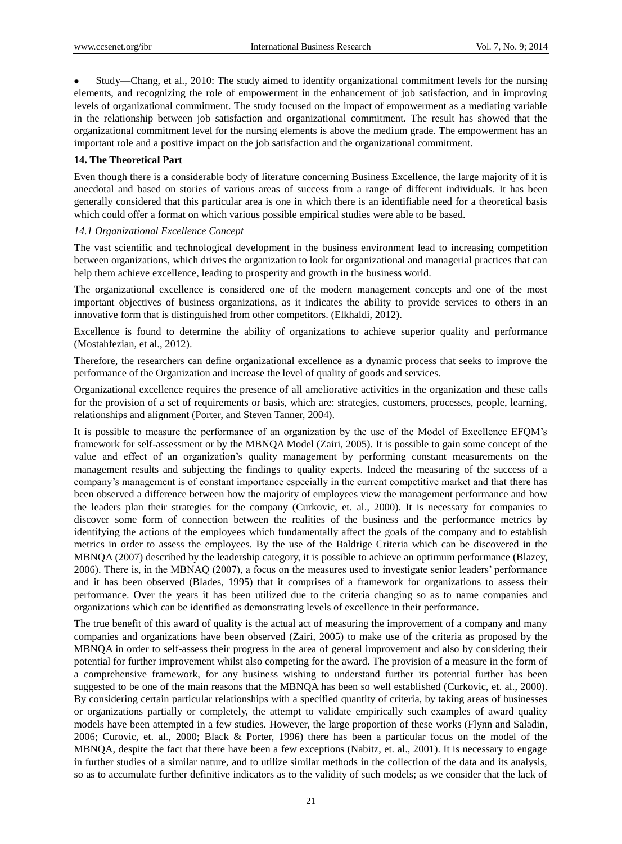Study—Chang, et al., 2010: The study aimed to identify organizational commitment levels for the nursing elements, and recognizing the role of empowerment in the enhancement of job satisfaction, and in improving levels of organizational commitment. The study focused on the impact of empowerment as a mediating variable in the relationship between job satisfaction and organizational commitment. The result has showed that the organizational commitment level for the nursing elements is above the medium grade. The empowerment has an important role and a positive impact on the job satisfaction and the organizational commitment.

# **14. The Theoretical Part**

Even though there is a considerable body of literature concerning Business Excellence, the large majority of it is anecdotal and based on stories of various areas of success from a range of different individuals. It has been generally considered that this particular area is one in which there is an identifiable need for a theoretical basis which could offer a format on which various possible empirical studies were able to be based.

## *14.1 Organizational Excellence Concept*

The vast scientific and technological development in the business environment lead to increasing competition between organizations, which drives the organization to look for organizational and managerial practices that can help them achieve excellence, leading to prosperity and growth in the business world.

The organizational excellence is considered one of the modern management concepts and one of the most important objectives of business organizations, as it indicates the ability to provide services to others in an innovative form that is distinguished from other competitors. (Elkhaldi, 2012).

Excellence is found to determine the ability of organizations to achieve superior quality and performance (Mostahfezian, et al., 2012).

Therefore, the researchers can define organizational excellence as a dynamic process that seeks to improve the performance of the Organization and increase the level of quality of goods and services.

Organizational excellence requires the presence of all ameliorative activities in the organization and these calls for the provision of a set of requirements or basis, which are: strategies, customers, processes, people, learning, relationships and alignment (Porter, and Steven Tanner, 2004).

It is possible to measure the performance of an organization by the use of the Model of Excellence EFQM's framework for self-assessment or by the MBNQA Model (Zairi, 2005). It is possible to gain some concept of the value and effect of an organization's quality management by performing constant measurements on the management results and subjecting the findings to quality experts. Indeed the measuring of the success of a company's management is of constant importance especially in the current competitive market and that there has been observed a difference between how the majority of employees view the management performance and how the leaders plan their strategies for the company (Curkovic, et. al., 2000). It is necessary for companies to discover some form of connection between the realities of the business and the performance metrics by identifying the actions of the employees which fundamentally affect the goals of the company and to establish metrics in order to assess the employees. By the use of the Baldrige Criteria which can be discovered in the MBNQA (2007) described by the leadership category, it is possible to achieve an optimum performance (Blazey, 2006). There is, in the MBNAQ (2007), a focus on the measures used to investigate senior leaders' performance and it has been observed (Blades, 1995) that it comprises of a framework for organizations to assess their performance. Over the years it has been utilized due to the criteria changing so as to name companies and organizations which can be identified as demonstrating levels of excellence in their performance.

The true benefit of this award of quality is the actual act of measuring the improvement of a company and many companies and organizations have been observed (Zairi, 2005) to make use of the criteria as proposed by the MBNQA in order to self-assess their progress in the area of general improvement and also by considering their potential for further improvement whilst also competing for the award. The provision of a measure in the form of a comprehensive framework, for any business wishing to understand further its potential further has been suggested to be one of the main reasons that the MBNQA has been so well established (Curkovic, et. al., 2000). By considering certain particular relationships with a specified quantity of criteria, by taking areas of businesses or organizations partially or completely, the attempt to validate empirically such examples of award quality models have been attempted in a few studies. However, the large proportion of these works (Flynn and Saladin, 2006; Curovic, et. al., 2000; Black & Porter, 1996) there has been a particular focus on the model of the MBNQA, despite the fact that there have been a few exceptions (Nabitz, et. al., 2001). It is necessary to engage in further studies of a similar nature, and to utilize similar methods in the collection of the data and its analysis, so as to accumulate further definitive indicators as to the validity of such models; as we consider that the lack of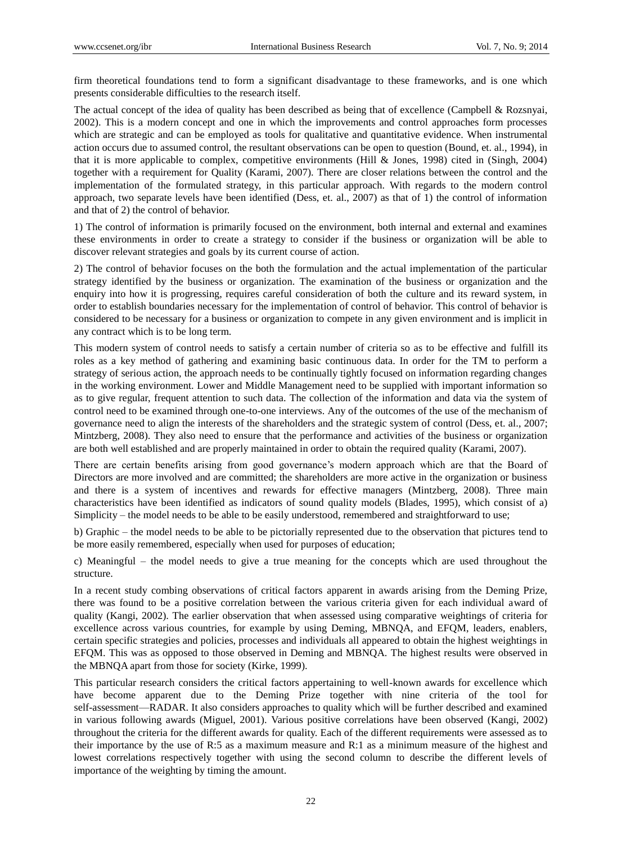firm theoretical foundations tend to form a significant disadvantage to these frameworks, and is one which presents considerable difficulties to the research itself.

The actual concept of the idea of quality has been described as being that of excellence (Campbell & Rozsnyai, 2002). This is a modern concept and one in which the improvements and control approaches form processes which are strategic and can be employed as tools for qualitative and quantitative evidence. When instrumental action occurs due to assumed control, the resultant observations can be open to question (Bound, et. al., 1994), in that it is more applicable to complex, competitive environments (Hill & Jones, 1998) cited in (Singh, 2004) together with a requirement for Quality (Karami, 2007). There are closer relations between the control and the implementation of the formulated strategy, in this particular approach. With regards to the modern control approach, two separate levels have been identified (Dess, et. al., 2007) as that of 1) the control of information and that of 2) the control of behavior.

1) The control of information is primarily focused on the environment, both internal and external and examines these environments in order to create a strategy to consider if the business or organization will be able to discover relevant strategies and goals by its current course of action.

2) The control of behavior focuses on the both the formulation and the actual implementation of the particular strategy identified by the business or organization. The examination of the business or organization and the enquiry into how it is progressing, requires careful consideration of both the culture and its reward system, in order to establish boundaries necessary for the implementation of control of behavior. This control of behavior is considered to be necessary for a business or organization to compete in any given environment and is implicit in any contract which is to be long term.

This modern system of control needs to satisfy a certain number of criteria so as to be effective and fulfill its roles as a key method of gathering and examining basic continuous data. In order for the TM to perform a strategy of serious action, the approach needs to be continually tightly focused on information regarding changes in the working environment. Lower and Middle Management need to be supplied with important information so as to give regular, frequent attention to such data. The collection of the information and data via the system of control need to be examined through one-to-one interviews. Any of the outcomes of the use of the mechanism of governance need to align the interests of the shareholders and the strategic system of control (Dess, et. al., 2007; Mintzberg, 2008). They also need to ensure that the performance and activities of the business or organization are both well established and are properly maintained in order to obtain the required quality (Karami, 2007).

There are certain benefits arising from good governance's modern approach which are that the Board of Directors are more involved and are committed; the shareholders are more active in the organization or business and there is a system of incentives and rewards for effective managers (Mintzberg, 2008). Three main characteristics have been identified as indicators of sound quality models (Blades, 1995), which consist of a) Simplicity – the model needs to be able to be easily understood, remembered and straightforward to use;

b) Graphic – the model needs to be able to be pictorially represented due to the observation that pictures tend to be more easily remembered, especially when used for purposes of education;

c) Meaningful – the model needs to give a true meaning for the concepts which are used throughout the structure.

In a recent study combing observations of critical factors apparent in awards arising from the Deming Prize, there was found to be a positive correlation between the various criteria given for each individual award of quality (Kangi, 2002). The earlier observation that when assessed using comparative weightings of criteria for excellence across various countries, for example by using Deming, MBNQA, and EFQM, leaders, enablers, certain specific strategies and policies, processes and individuals all appeared to obtain the highest weightings in EFQM. This was as opposed to those observed in Deming and MBNQA. The highest results were observed in the MBNQA apart from those for society (Kirke, 1999).

This particular research considers the critical factors appertaining to well-known awards for excellence which have become apparent due to the Deming Prize together with nine criteria of the tool for self-assessment—RADAR. It also considers approaches to quality which will be further described and examined in various following awards (Miguel, 2001). Various positive correlations have been observed (Kangi, 2002) throughout the criteria for the different awards for quality. Each of the different requirements were assessed as to their importance by the use of R:5 as a maximum measure and R:1 as a minimum measure of the highest and lowest correlations respectively together with using the second column to describe the different levels of importance of the weighting by timing the amount.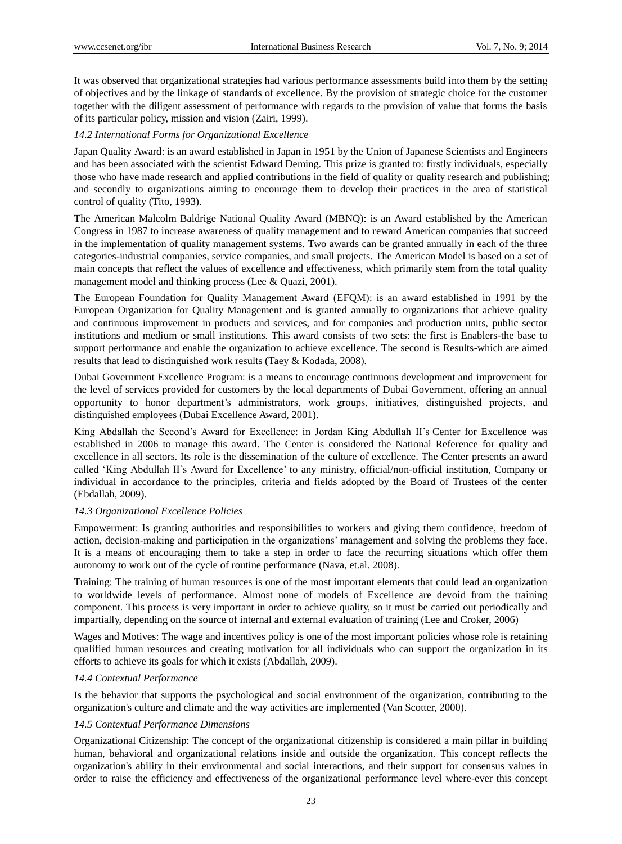It was observed that organizational strategies had various performance assessments build into them by the setting of objectives and by the linkage of standards of excellence. By the provision of strategic choice for the customer together with the diligent assessment of performance with regards to the provision of value that forms the basis of its particular policy, mission and vision (Zairi, 1999).

# *14.2 International Forms for Organizational Excellence*

Japan Quality Award: is an award established in Japan in 1951 by the Union of Japanese Scientists and Engineers and has been associated with the scientist Edward Deming. This prize is granted to: firstly individuals, especially those who have made research and applied contributions in the field of quality or quality research and publishing; and secondly to organizations aiming to encourage them to develop their practices in the area of statistical control of quality (Tito, 1993).

The American Malcolm Baldrige National Quality Award (MBNQ): is an Award established by the American Congress in 1987 to increase awareness of quality management and to reward American companies that succeed in the implementation of quality management systems. Two awards can be granted annually in each of the three categories-industrial companies, service companies, and small projects. The American Model is based on a set of main concepts that reflect the values of excellence and effectiveness, which primarily stem from the total quality management model and thinking process (Lee & Quazi, 2001).

The European Foundation for Quality Management Award (EFQM): is an award established in 1991 by the European Organization for Quality Management and is granted annually to organizations that achieve quality and continuous improvement in products and services, and for companies and production units, public sector institutions and medium or small institutions. This award consists of two sets: the first is Enablers-the base to support performance and enable the organization to achieve excellence. The second is Results-which are aimed results that lead to distinguished work results (Taey & Kodada, 2008).

Dubai Government Excellence Program: is a means to encourage continuous development and improvement for the level of services provided for customers by the local departments of Dubai Government, offering an annual opportunity to honor department's administrators, work groups, initiatives, distinguished projects, and distinguished employees (Dubai Excellence Award, 2001).

King Abdallah the Second's Award for Excellence: in Jordan King Abdullah II's Center for Excellence was established in 2006 to manage this award. The Center is considered the National Reference for quality and excellence in all sectors. Its role is the dissemination of the culture of excellence. The Center presents an award called 'King Abdullah II's Award for Excellence' to any ministry, official/non-official institution, Company or individual in accordance to the principles, criteria and fields adopted by the Board of Trustees of the center (Ebdallah, 2009).

#### *14.3 Organizational Excellence Policies*

Empowerment: Is granting authorities and responsibilities to workers and giving them confidence, freedom of action, decision-making and participation in the organizations' management and solving the problems they face. It is a means of encouraging them to take a step in order to face the recurring situations which offer them autonomy to work out of the cycle of routine performance (Nava, et.al. 2008).

Training: The training of human resources is one of the most important elements that could lead an organization to worldwide levels of performance. Almost none of models of Excellence are devoid from the training component. This process is very important in order to achieve quality, so it must be carried out periodically and impartially, depending on the source of internal and external evaluation of training (Lee and Croker, 2006)

Wages and Motives: The wage and incentives policy is one of the most important policies whose role is retaining qualified human resources and creating motivation for all individuals who can support the organization in its efforts to achieve its goals for which it exists (Abdallah, 2009).

# *14.4 Contextual Performance*

Is the behavior that supports the psychological and social environment of the organization, contributing to the organization's culture and climate and the way activities are implemented (Van Scotter, 2000).

# *14.5 Contextual Performance Dimensions*

Organizational Citizenship: The concept of the organizational citizenship is considered a main pillar in building human, behavioral and organizational relations inside and outside the organization. This concept reflects the organization's ability in their environmental and social interactions, and their support for consensus values in order to raise the efficiency and effectiveness of the organizational performance level where-ever this concept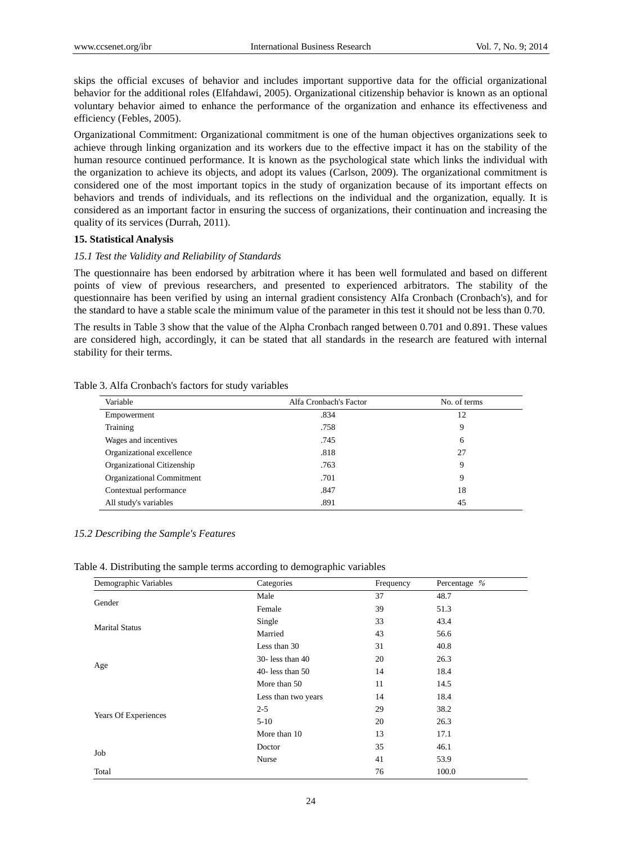skips the official excuses of behavior and includes important supportive data for the official organizational behavior for the additional roles (Elfahdawi, 2005). Organizational citizenship behavior is known as an optional voluntary behavior aimed to enhance the performance of the organization and enhance its effectiveness and efficiency (Febles, 2005).

Organizational Commitment: Organizational commitment is one of the human objectives organizations seek to achieve through linking organization and its workers due to the effective impact it has on the stability of the human resource continued performance. It is known as the psychological state which links the individual with the organization to achieve its objects, and adopt its values (Carlson, 2009). The organizational commitment is considered one of the most important topics in the study of organization because of its important effects on behaviors and trends of individuals, and its reflections on the individual and the organization, equally. It is considered as an important factor in ensuring the success of organizations, their continuation and increasing the quality of its services (Durrah, 2011).

#### **15. Statistical Analysis**

## *15.1 Test the Validity and Reliability of Standards*

The questionnaire has been endorsed by arbitration where it has been well formulated and based on different points of view of previous researchers, and presented to experienced arbitrators. The stability of the questionnaire has been verified by using an internal gradient consistency Alfa Cronbach (Cronbach's), and for the standard to have a stable scale the minimum value of the parameter in this test it should not be less than 0.70.

The results in Table 3 show that the value of the Alpha Cronbach ranged between 0.701 and 0.891. These values are considered high, accordingly, it can be stated that all standards in the research are featured with internal stability for their terms.

| Variable                   | Alfa Cronbach's Factor | No. of terms |
|----------------------------|------------------------|--------------|
| Empowerment                | .834                   | 12           |
| Training                   | .758                   | 9            |
| Wages and incentives       | .745                   | 6            |
| Organizational excellence  | .818                   | 27           |
| Organizational Citizenship | .763                   | 9            |
| Organizational Commitment  | .701                   | 9            |
| Contextual performance     | .847                   | 18           |
| All study's variables      | .891                   | 45           |

Table 3. Alfa Cronbach's factors for study variables

# *15.2 Describing the Sample's Features*

| Table 4. Distributing the sample terms according to demographic variables |  |  |  |  |
|---------------------------------------------------------------------------|--|--|--|--|
|                                                                           |  |  |  |  |

| Demographic Variables | Categories          | Frequency | Percentage % |
|-----------------------|---------------------|-----------|--------------|
|                       | Male                | 37        | 48.7         |
| Gender                | Female              | 39        | 51.3         |
| <b>Marital Status</b> | Single              | 33        | 43.4         |
|                       | Married             | 43        | 56.6         |
|                       | Less than 30        | 31        | 40.8         |
|                       | $30 -$ less than 40 | 20        | 26.3         |
| Age                   | 40-less than $50$   | 14        | 18.4         |
|                       | More than 50        | 11        | 14.5         |
|                       | Less than two years | 14        | 18.4         |
|                       | $2 - 5$             | 29        | 38.2         |
| Years Of Experiences  | $5-10$              | 20        | 26.3         |
|                       | More than 10        | 13        | 17.1         |
|                       | Doctor              | 35        | 46.1         |
| Job                   | Nurse               | 41        | 53.9         |
| Total                 |                     | 76        | 100.0        |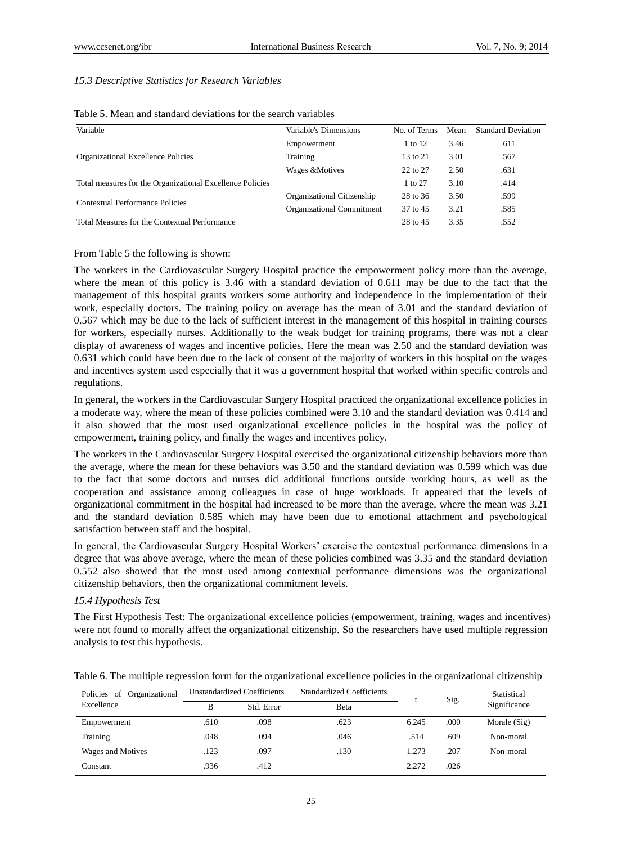#### *15.3 Descriptive Statistics for Research Variables*

| Variable                                                  | Variable's Dimensions      | No. of Terms | Mean | <b>Standard Deviation</b> |
|-----------------------------------------------------------|----------------------------|--------------|------|---------------------------|
|                                                           | Empowerment                | 1 to 12      | 3.46 | .611                      |
| Organizational Excellence Policies                        | Training                   | 13 to 21     | 3.01 | .567                      |
|                                                           | Wages &Motives             | 22 to 27     | 2.50 | .631                      |
| Total measures for the Organizational Excellence Policies |                            | 1 to 27      | 3.10 | .414                      |
| Contextual Performance Policies                           | Organizational Citizenship | 28 to 36     | 3.50 | .599                      |
|                                                           | Organizational Commitment  | 37 to 45     | 3.21 | .585                      |
| Total Measures for the Contextual Performance             |                            | 28 to 45     | 3.35 | .552                      |

| Table 5. Mean and standard deviations for the search variables |  |  |  |  |  |  |  |
|----------------------------------------------------------------|--|--|--|--|--|--|--|
|----------------------------------------------------------------|--|--|--|--|--|--|--|

From Table 5 the following is shown:

The workers in the Cardiovascular Surgery Hospital practice the empowerment policy more than the average, where the mean of this policy is 3.46 with a standard deviation of 0.611 may be due to the fact that the management of this hospital grants workers some authority and independence in the implementation of their work, especially doctors. The training policy on average has the mean of 3.01 and the standard deviation of 0.567 which may be due to the lack of sufficient interest in the management of this hospital in training courses for workers, especially nurses. Additionally to the weak budget for training programs, there was not a clear display of awareness of wages and incentive policies. Here the mean was 2.50 and the standard deviation was 0.631 which could have been due to the lack of consent of the majority of workers in this hospital on the wages and incentives system used especially that it was a government hospital that worked within specific controls and regulations.

In general, the workers in the Cardiovascular Surgery Hospital practiced the organizational excellence policies in a moderate way, where the mean of these policies combined were 3.10 and the standard deviation was 0.414 and it also showed that the most used organizational excellence policies in the hospital was the policy of empowerment, training policy, and finally the wages and incentives policy.

The workers in the Cardiovascular Surgery Hospital exercised the organizational citizenship behaviors more than the average, where the mean for these behaviors was 3.50 and the standard deviation was 0.599 which was due to the fact that some doctors and nurses did additional functions outside working hours, as well as the cooperation and assistance among colleagues in case of huge workloads. It appeared that the levels of organizational commitment in the hospital had increased to be more than the average, where the mean was 3.21 and the standard deviation 0.585 which may have been due to emotional attachment and psychological satisfaction between staff and the hospital.

In general, the Cardiovascular Surgery Hospital Workers' exercise the contextual performance dimensions in a degree that was above average, where the mean of these policies combined was 3.35 and the standard deviation 0.552 also showed that the most used among contextual performance dimensions was the organizational citizenship behaviors, then the organizational commitment levels.

#### *15.4 Hypothesis Test*

The First Hypothesis Test: The organizational excellence policies (empowerment, training, wages and incentives) were not found to morally affect the organizational citizenship. So the researchers have used multiple regression analysis to test this hypothesis.

| Policies of Organizational | <b>Unstandardized Coefficients</b> |            | <b>Standardized Coefficients</b> |       | Sig. | Statistical  |
|----------------------------|------------------------------------|------------|----------------------------------|-------|------|--------------|
| Excellence                 | в                                  | Std. Error | Beta                             |       |      | Significance |
| Empowerment                | .610                               | .098       | .623                             | 6.245 | .000 | Morale (Sig) |
| Training                   | .048                               | .094       | .046                             | .514  | .609 | Non-moral    |
| Wages and Motives          | .123                               | .097       | .130                             | 1.273 | .207 | Non-moral    |
| Constant                   | .936                               | .412       |                                  | 2.272 | .026 |              |

Table 6. The multiple regression form for the organizational excellence policies in the organizational citizenship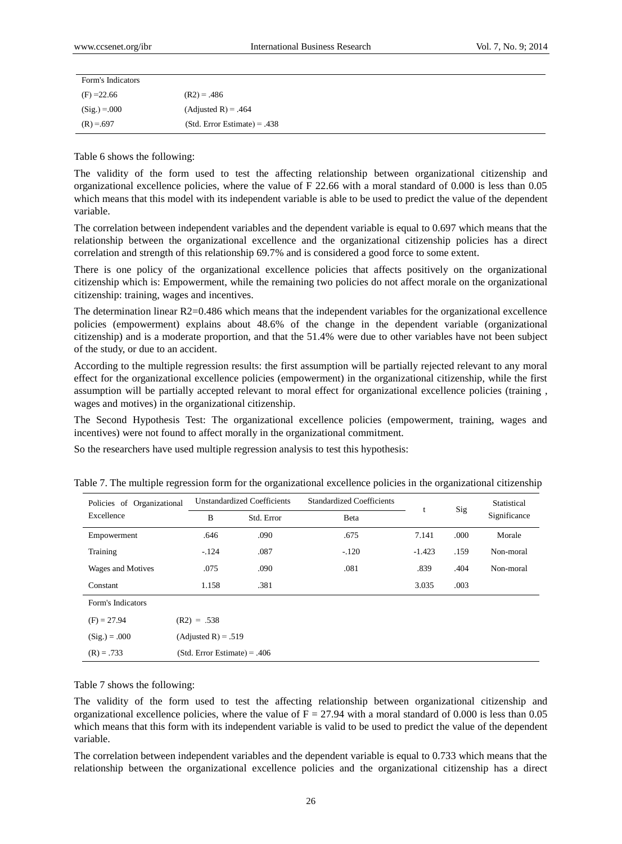| Form's Indicators |                                |
|-------------------|--------------------------------|
| $(F) = 22.66$     | $(R2) = .486$                  |
| $(Sig.) = 000$    | $(Adjusted R) = .464$          |
| $(R) = .697$      | $(Std. Error Estimate) = .438$ |

Table 6 shows the following:

The validity of the form used to test the affecting relationship between organizational citizenship and organizational excellence policies, where the value of F 22.66 with a moral standard of 0.000 is less than 0.05 which means that this model with its independent variable is able to be used to predict the value of the dependent variable.

The correlation between independent variables and the dependent variable is equal to 0.697 which means that the relationship between the organizational excellence and the organizational citizenship policies has a direct correlation and strength of this relationship 69.7% and is considered a good force to some extent.

There is one policy of the organizational excellence policies that affects positively on the organizational citizenship which is: Empowerment, while the remaining two policies do not affect morale on the organizational citizenship: training, wages and incentives.

The determination linear R2=0.486 which means that the independent variables for the organizational excellence policies (empowerment) explains about 48.6% of the change in the dependent variable (organizational citizenship) and is a moderate proportion, and that the 51.4% were due to other variables have not been subject of the study, or due to an accident.

According to the multiple regression results: the first assumption will be partially rejected relevant to any moral effect for the organizational excellence policies (empowerment) in the organizational citizenship, while the first assumption will be partially accepted relevant to moral effect for organizational excellence policies (training , wages and motives) in the organizational citizenship.

The Second Hypothesis Test: The organizational excellence policies (empowerment, training, wages and incentives) were not found to affect morally in the organizational commitment.

So the researchers have used multiple regression analysis to test this hypothesis:

| Policies of Organizational |                                | <b>Unstandardized Coefficients</b> | <b>Standardized Coefficients</b> | t        | Sig  | Statistical  |
|----------------------------|--------------------------------|------------------------------------|----------------------------------|----------|------|--------------|
| Excellence                 | B                              | Std. Error                         | Beta                             |          |      | Significance |
| Empowerment                | .646                           | .090                               | .675                             | 7.141    | .000 | Morale       |
| Training                   | $-124$                         | .087                               | $-.120$                          | $-1.423$ | .159 | Non-moral    |
| Wages and Motives          | .075                           | .090                               | .081                             | .839     | .404 | Non-moral    |
| Constant                   | 1.158                          | .381                               |                                  | 3.035    | .003 |              |
| Form's Indicators          |                                |                                    |                                  |          |      |              |
| $(F) = 27.94$              | $(R2) = .538$                  |                                    |                                  |          |      |              |
| $(Sig.) = .000$            | $(Adjusted R) = .519$          |                                    |                                  |          |      |              |
| $(R) = .733$               | $(Std. Error Estimate) = .406$ |                                    |                                  |          |      |              |

Table 7. The multiple regression form for the organizational excellence policies in the organizational citizenship

Table 7 shows the following:

The validity of the form used to test the affecting relationship between organizational citizenship and organizational excellence policies, where the value of  $F = 27.94$  with a moral standard of 0.000 is less than 0.05 which means that this form with its independent variable is valid to be used to predict the value of the dependent variable.

The correlation between independent variables and the dependent variable is equal to 0.733 which means that the relationship between the organizational excellence policies and the organizational citizenship has a direct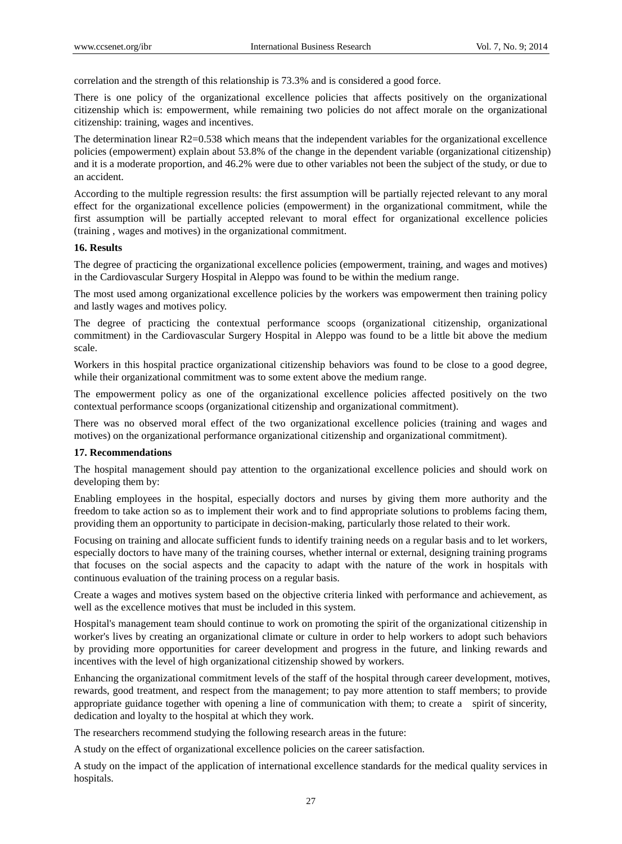correlation and the strength of this relationship is 73.3% and is considered a good force.

There is one policy of the organizational excellence policies that affects positively on the organizational citizenship which is: empowerment, while remaining two policies do not affect morale on the organizational citizenship: training, wages and incentives.

The determination linear R2=0.538 which means that the independent variables for the organizational excellence policies (empowerment) explain about 53.8% of the change in the dependent variable (organizational citizenship) and it is a moderate proportion, and 46.2% were due to other variables not been the subject of the study, or due to an accident.

According to the multiple regression results: the first assumption will be partially rejected relevant to any moral effect for the organizational excellence policies (empowerment) in the organizational commitment, while the first assumption will be partially accepted relevant to moral effect for organizational excellence policies (training , wages and motives) in the organizational commitment.

#### **16. Results**

The degree of practicing the organizational excellence policies (empowerment, training, and wages and motives) in the Cardiovascular Surgery Hospital in Aleppo was found to be within the medium range.

The most used among organizational excellence policies by the workers was empowerment then training policy and lastly wages and motives policy.

The degree of practicing the contextual performance scoops (organizational citizenship, organizational commitment) in the Cardiovascular Surgery Hospital in Aleppo was found to be a little bit above the medium scale.

Workers in this hospital practice organizational citizenship behaviors was found to be close to a good degree, while their organizational commitment was to some extent above the medium range.

The empowerment policy as one of the organizational excellence policies affected positively on the two contextual performance scoops (organizational citizenship and organizational commitment).

There was no observed moral effect of the two organizational excellence policies (training and wages and motives) on the organizational performance organizational citizenship and organizational commitment).

#### **17. Recommendations**

The hospital management should pay attention to the organizational excellence policies and should work on developing them by:

Enabling employees in the hospital, especially doctors and nurses by giving them more authority and the freedom to take action so as to implement their work and to find appropriate solutions to problems facing them, providing them an opportunity to participate in decision-making, particularly those related to their work.

Focusing on training and allocate sufficient funds to identify training needs on a regular basis and to let workers, especially doctors to have many of the training courses, whether internal or external, designing training programs that focuses on the social aspects and the capacity to adapt with the nature of the work in hospitals with continuous evaluation of the training process on a regular basis.

Create a wages and motives system based on the objective criteria linked with performance and achievement, as well as the excellence motives that must be included in this system.

Hospital's management team should continue to work on promoting the spirit of the organizational citizenship in worker's lives by creating an organizational climate or culture in order to help workers to adopt such behaviors by providing more opportunities for career development and progress in the future, and linking rewards and incentives with the level of high organizational citizenship showed by workers.

Enhancing the organizational commitment levels of the staff of the hospital through career development, motives, rewards, good treatment, and respect from the management; to pay more attention to staff members; to provide appropriate guidance together with opening a line of communication with them; to create a spirit of sincerity, dedication and loyalty to the hospital at which they work.

The researchers recommend studying the following research areas in the future:

A study on the effect of organizational excellence policies on the career satisfaction.

A study on the impact of the application of international excellence standards for the medical quality services in hospitals.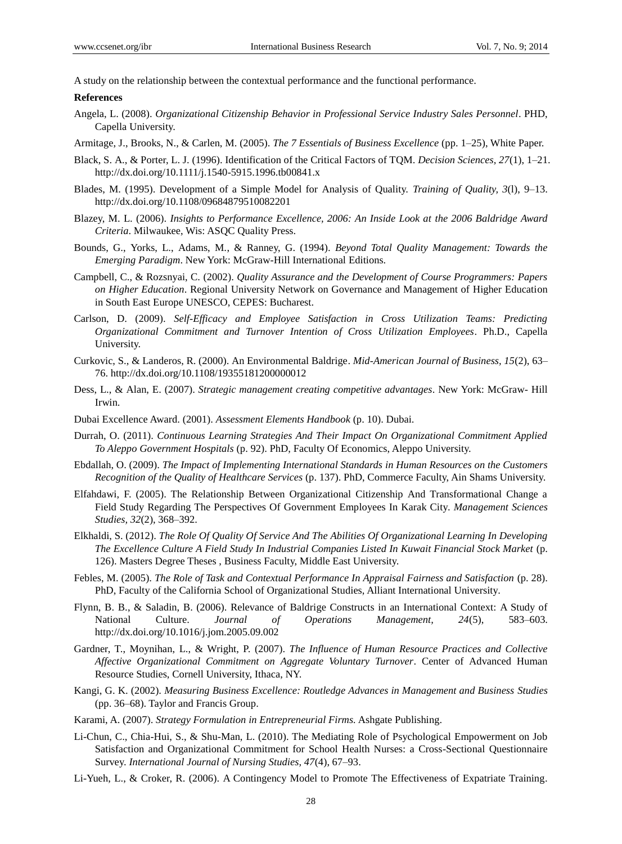A study on the relationship between the contextual performance and the functional performance.

#### **References**

- Angela, L. (2008). *Organizational Citizenship Behavior in Professional Service Industry Sales Personnel*. PHD, Capella University.
- Armitage, J., Brooks, N., & Carlen, M. (2005). *The 7 Essentials of Business Excellence* (pp. 1–25), White Paper.
- Black, S. A., & Porter, L. J. (1996). Identification of the Critical Factors of TQM. *Decision Sciences, 27*(1), 1–21. http://dx.doi.org/10.1111/j.1540-5915.1996.tb00841.x
- Blades, M. (1995). Development of a Simple Model for Analysis of Quality. *Training of Quality, 3*(l), 9–13. http://dx.doi.org/10.1108/09684879510082201
- Blazey, M. L. (2006). *Insights to Performance Excellence, 2006: An Inside Look at the 2006 Baldridge Award Criteria*. Milwaukee, Wis: ASQC Quality Press.
- Bounds, G., Yorks, L., Adams, M., & Ranney, G. (1994). *Beyond Total Quality Management: Towards the Emerging Paradigm*. New York: McGraw-Hill International Editions.
- Campbell, C., & Rozsnyai, C. (2002). *Quality Assurance and the Development of Course Programmers: Papers on Higher Education*. Regional University Network on Governance and Management of Higher Education in South East Europe UNESCO, CEPES: Bucharest.
- Carlson, D. (2009). *Self-Efficacy and Employee Satisfaction in Cross Utilization Teams: Predicting Organizational Commitment and Turnover Intention of Cross Utilization Employees*. Ph.D., Capella University.
- Curkovic, S., & Landeros, R. (2000). An Environmental Baldrige. *Mid-American Journal of Business, 15*(2), 63– 76. http://dx.doi.org/10.1108/19355181200000012
- Dess, L., & Alan, E. (2007). *Strategic management creating competitive advantages*. New York: McGraw- Hill Irwin.
- Dubai Excellence Award. (2001). *Assessment Elements Handbook* (p. 10). Dubai.
- Durrah, O. (2011). *Continuous Learning Strategies And Their Impact On Organizational Commitment Applied To Aleppo Government Hospitals* (p. 92). PhD, Faculty Of Economics, Aleppo University.
- Ebdallah, O. (2009). *The Impact of Implementing International Standards in Human Resources on the Customers Recognition of the Quality of Healthcare Services* (p. 137). PhD, Commerce Faculty, Ain Shams University.
- Elfahdawi, F. (2005). The Relationship Between Organizational Citizenship And Transformational Change a Field Study Regarding The Perspectives Of Government Employees In Karak City. *Management Sciences Studies, 32*(2), 368–392.
- Elkhaldi, S. (2012). *The Role Of Quality Of Service And The Abilities Of Organizational Learning In Developing The Excellence Culture A Field Study In Industrial Companies Listed In Kuwait Financial Stock Market* (p. 126). Masters Degree Theses , Business Faculty, Middle East University.
- Febles, M. (2005). *The Role of Task and Contextual Performance In Appraisal Fairness and Satisfaction* (p. 28). PhD, Faculty of the California School of Organizational Studies, Alliant International University.
- Flynn, B. B., & Saladin, B. (2006). Relevance of Baldrige Constructs in an International Context: A Study of National Culture. *Journal of Operations Management, 24*(5), 583–603. http://dx.doi.org/10.1016/j.jom.2005.09.002
- Gardner, T., Moynihan, L., & Wright, P. (2007). *The Influence of Human Resource Practices and Collective Affective Organizational Commitment on Aggregate Voluntary Turnover*. Center of Advanced Human Resource Studies, Cornell University, Ithaca, NY.
- Kangi, G. K. (2002). *Measuring Business Excellence: Routledge Advances in Management and Business Studies* (pp. 36–68). Taylor and Francis Group.
- Karami, A. (2007). *Strategy Formulation in Entrepreneurial Firms.* Ashgate Publishing.
- Li-Chun, C., Chia-Hui, S., & Shu-Man, L. (2010). The Mediating Role of Psychological Empowerment on Job Satisfaction and Organizational Commitment for School Health Nurses: a Cross-Sectional Questionnaire Survey. *International Journal of Nursing Studies, 47*(4), 67–93.
- Li-Yueh, L., & Croker, R. (2006). A Contingency Model to Promote The Effectiveness of Expatriate Training.